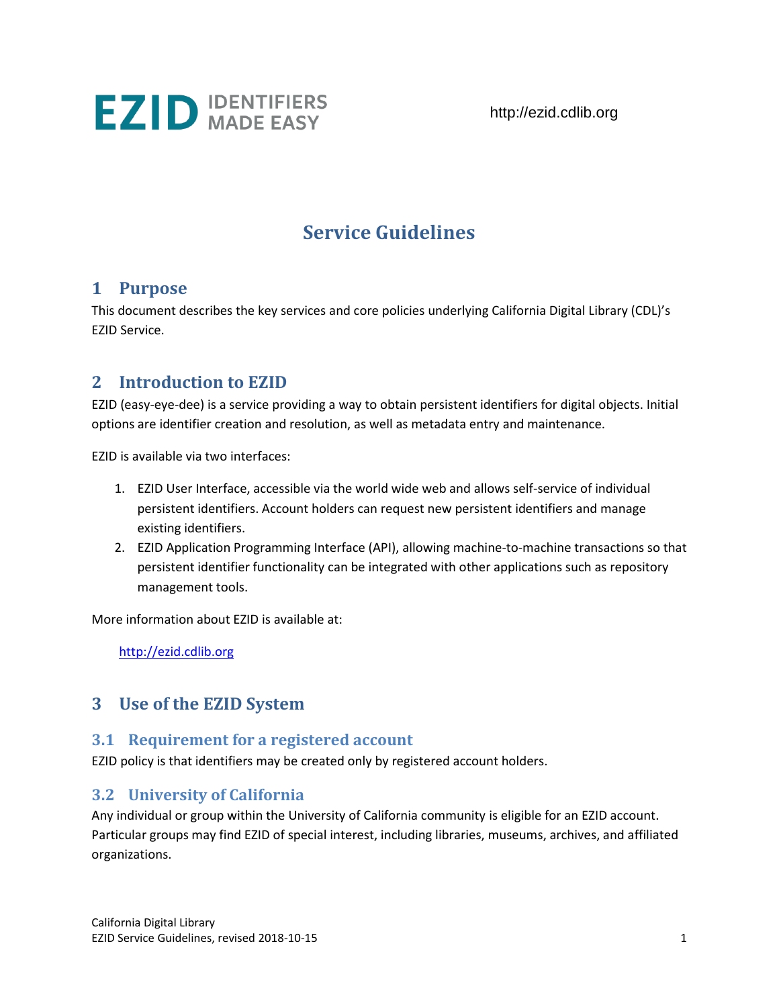

http://ezid.cdlib.org

# **Service Guidelines**

### **1 Purpose**

This document describes the key services and core policies underlying California Digital Library (CDL)'s EZID Service.

### **2 Introduction to EZID**

EZID (easy-eye-dee) is a service providing a way to obtain persistent identifiers for digital objects. Initial options are identifier creation and resolution, as well as metadata entry and maintenance.

EZID is available via two interfaces:

- 1. EZID User Interface, accessible via the world wide web and allows self-service of individual persistent identifiers. Account holders can request new persistent identifiers and manage existing identifiers.
- 2. EZID Application Programming Interface (API), allowing machine-to-machine transactions so that persistent identifier functionality can be integrated with other applications such as repository management tools.

More information about EZID is available at:

[http://ezid.cdlib.org](http://ezid.cdlib.org/)

### **3 Use of the EZID System**

#### **3.1 Requirement for a registered account**

EZID policy is that identifiers may be created only by registered account holders.

### **3.2 University of California**

Any individual or group within the University of California community is eligible for an EZID account. Particular groups may find EZID of special interest, including libraries, museums, archives, and affiliated organizations.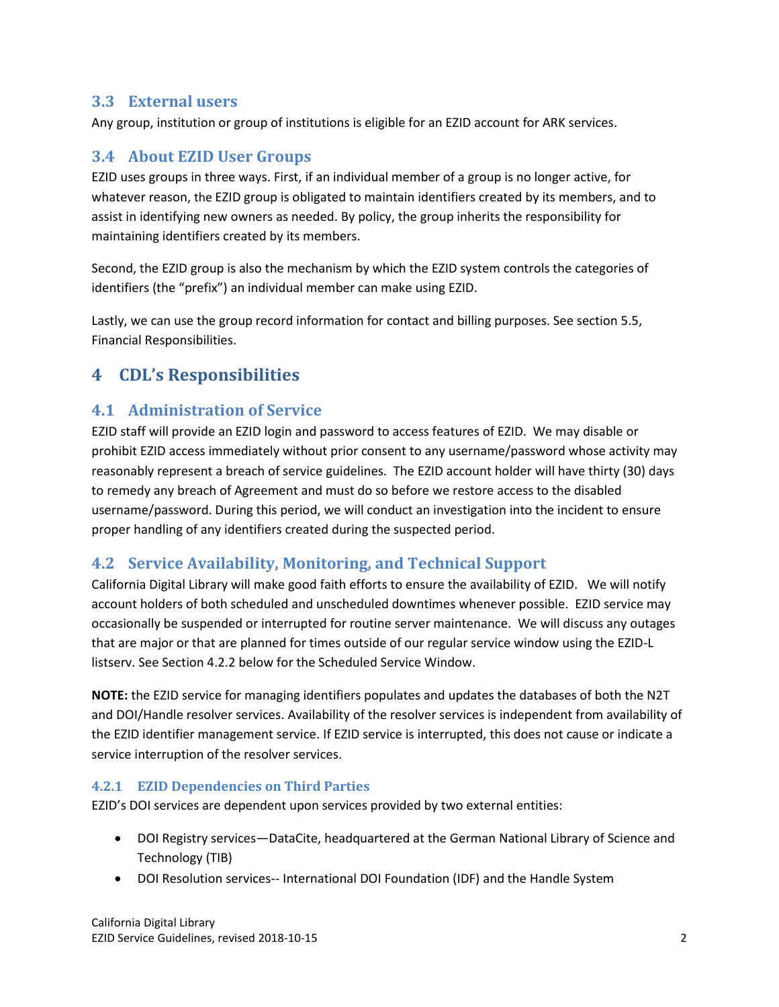#### **3.3 External users**

Any group, institution or group of institutions is eligible for an EZID account for ARK services.

### **3.4 About EZID User Groups**

EZID uses groups in three ways. First, if an individual member of a group is no longer active, for whatever reason, the EZID group is obligated to maintain identifiers created by its members, and to assist in identifying new owners as needed. By policy, the group inherits the responsibility for maintaining identifiers created by its members.

Second, the EZID group is also the mechanism by which the EZID system controls the categories of identifiers (the "prefix") an individual member can make using EZID.

Lastly, we can use the group record information for contact and billing purposes. See section 5.5, Financial Responsibilities.

## **4 CDL's Responsibilities**

### **4.1 Administration of Service**

EZID staff will provide an EZID login and password to access features of EZID. We may disable or prohibit EZID access immediately without prior consent to any username/password whose activity may reasonably represent a breach of service guidelines. The EZID account holder will have thirty (30) days to remedy any breach of Agreement and must do so before we restore access to the disabled username/password. During this period, we will conduct an investigation into the incident to ensure proper handling of any identifiers created during the suspected period.

### **4.2 Service Availability, Monitoring, and Technical Support**

California Digital Library will make good faith efforts to ensure the availability of EZID. We will notify account holders of both scheduled and unscheduled downtimes whenever possible. EZID service may occasionally be suspended or interrupted for routine server maintenance. We will discuss any outages that are major or that are planned for times outside of our regular service window using the EZID-L listserv. See Section 4.2.2 below for the Scheduled Service Window.

**NOTE:** the EZID service for managing identifiers populates and updates the databases of both the N2T and DOI/Handle resolver services. Availability of the resolver services is independent from availability of the EZID identifier management service. If EZID service is interrupted, this does not cause or indicate a service interruption of the resolver services.

#### **4.2.1 EZID Dependencies on Third Parties**

EZID's DOI services are dependent upon services provided by two external entities:

- DOI Registry services—DataCite, headquartered at the German National Library of Science and Technology (TIB)
- DOI Resolution services-- International DOI Foundation (IDF) and the Handle System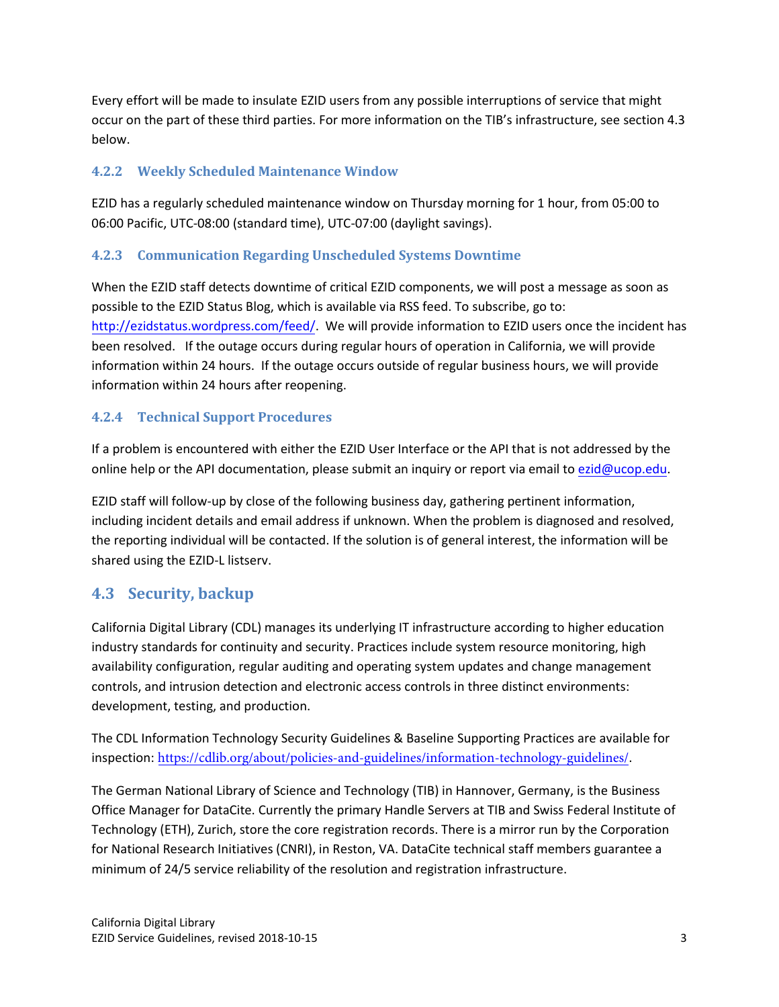Every effort will be made to insulate EZID users from any possible interruptions of service that might occur on the part of these third parties. For more information on the TIB's infrastructure, see section 4.3 below.

#### **4.2.2 Weekly Scheduled Maintenance Window**

EZID has a regularly scheduled maintenance window on Thursday morning for 1 hour, from 05:00 to 06:00 Pacific, UTC-08:00 (standard time), UTC-07:00 (daylight savings).

#### **4.2.3 Communication Regarding Unscheduled Systems Downtime**

When the EZID staff detects downtime of critical EZID components, we will post a message as soon as possible to the EZID Status Blog, which is available via RSS feed. To subscribe, go to: [http://ezidstatus.wordpress.com/feed/.](http://ezidstatus.wordpress.com/feed/) We will provide information to EZID users once the incident has been resolved. If the outage occurs during regular hours of operation in California, we will provide information within 24 hours. If the outage occurs outside of regular business hours, we will provide information within 24 hours after reopening.

#### **4.2.4 Technical Support Procedures**

If a problem is encountered with either the EZID User Interface or the API that is not addressed by the online help or the API documentation, please submit an inquiry or report via email t[o ezid@ucop.edu.](mailto:ezid@ucop.edu)

EZID staff will follow-up by close of the following business day, gathering pertinent information, including incident details and email address if unknown. When the problem is diagnosed and resolved, the reporting individual will be contacted. If the solution is of general interest, the information will be shared using the EZID-L listserv.

### **4.3 Security, backup**

California Digital Library (CDL) manages its underlying IT infrastructure according to higher education industry standards for continuity and security. Practices include system resource monitoring, high availability configuration, regular auditing and operating system updates and change management controls, and intrusion detection and electronic access controls in three distinct environments: development, testing, and production.

The CDL Information Technology Security Guidelines & Baseline Supporting Practices are available for inspection: <https://cdlib.org/about/policies-and-guidelines/information-technology-guidelines/>.

The German National Library of Science and Technology (TIB) in Hannover, Germany, is the Business Office Manager for DataCite. Currently the primary Handle Servers at TIB and Swiss Federal Institute of Technology (ETH), Zurich, store the core registration records. There is a mirror run by the Corporation for National Research Initiatives (CNRI), in Reston, VA. DataCite technical staff members guarantee a minimum of 24/5 service reliability of the resolution and registration infrastructure.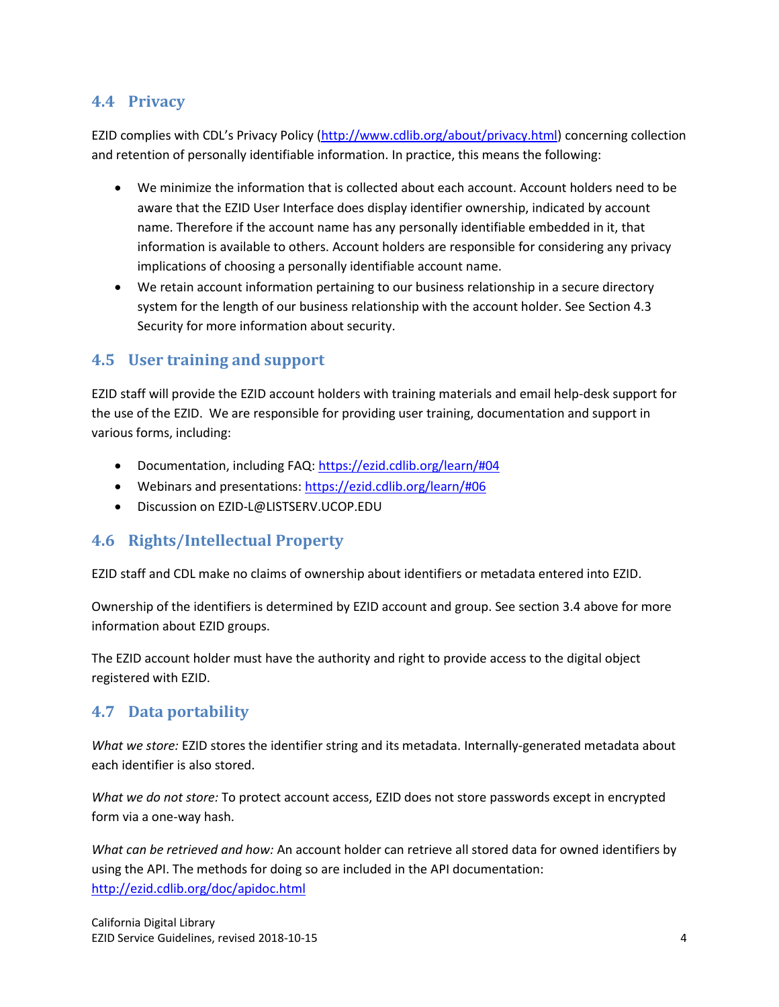### **4.4 Privacy**

EZID complies with CDL's Privacy Policy [\(http://www.cdlib.org/about/privacy.html\)](http://www.cdlib.org/about/privacy.html) concerning collection and retention of personally identifiable information. In practice, this means the following:

- We minimize the information that is collected about each account. Account holders need to be aware that the EZID User Interface does display identifier ownership, indicated by account name. Therefore if the account name has any personally identifiable embedded in it, that information is available to others. Account holders are responsible for considering any privacy implications of choosing a personally identifiable account name.
- We retain account information pertaining to our business relationship in a secure directory system for the length of our business relationship with the account holder. See Section 4.3 Security for more information about security.

### **4.5 User training and support**

EZID staff will provide the EZID account holders with training materials and email help-desk support for the use of the EZID. We are responsible for providing user training, documentation and support in various forms, including:

- Documentation, including FAQ: [https://ezid.cdlib.org/learn/#04](https://ezid.cdlib.org/learn/%2304)
- Webinars and presentations[: https://ezid.cdlib.org/learn/#06](https://ezid.cdlib.org/learn/%2306)
- Discussion on EZID-L@LISTSERV.UCOP.EDU

### **4.6 Rights/Intellectual Property**

EZID staff and CDL make no claims of ownership about identifiers or metadata entered into EZID.

Ownership of the identifiers is determined by EZID account and group. See section 3.4 above for more information about EZID groups.

The EZID account holder must have the authority and right to provide access to the digital object registered with EZID.

### **4.7 Data portability**

*What we store:* EZID stores the identifier string and its metadata. Internally-generated metadata about each identifier is also stored.

*What we do not store:* To protect account access, EZID does not store passwords except in encrypted form via a one-way hash.

*What can be retrieved and how:* An account holder can retrieve all stored data for owned identifiers by using the API. The methods for doing so are included in the API documentation: <http://ezid.cdlib.org/doc/apidoc.html>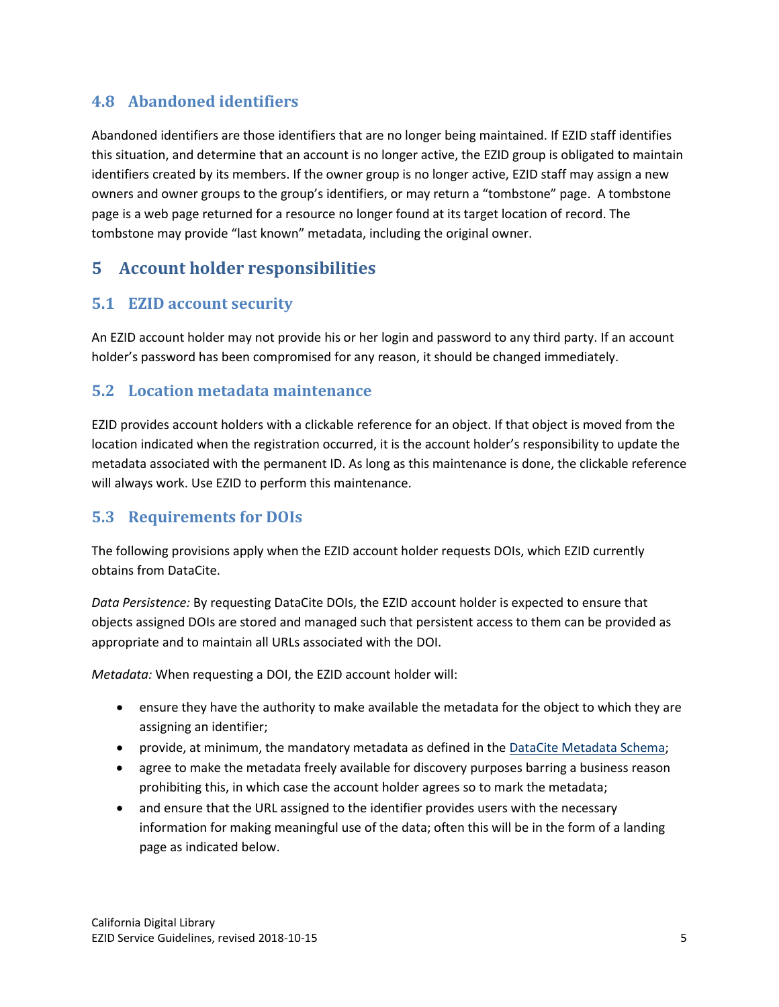### **4.8 Abandoned identifiers**

Abandoned identifiers are those identifiers that are no longer being maintained. If EZID staff identifies this situation, and determine that an account is no longer active, the EZID group is obligated to maintain identifiers created by its members. If the owner group is no longer active, EZID staff may assign a new owners and owner groups to the group's identifiers, or may return a "tombstone" page. A tombstone page is a web page returned for a resource no longer found at its target location of record. The tombstone may provide "last known" metadata, including the original owner.

# **5 Account holder responsibilities**

### **5.1 EZID account security**

An EZID account holder may not provide his or her login and password to any third party. If an account holder's password has been compromised for any reason, it should be changed immediately.

### **5.2 Location metadata maintenance**

EZID provides account holders with a clickable reference for an object. If that object is moved from the location indicated when the registration occurred, it is the account holder's responsibility to update the metadata associated with the permanent ID. As long as this maintenance is done, the clickable reference will always work. Use EZID to perform this maintenance.

### **5.3 Requirements for DOIs**

The following provisions apply when the EZID account holder requests DOIs, which EZID currently obtains from DataCite.

*Data Persistence:* By requesting DataCite DOIs, the EZID account holder is expected to ensure that objects assigned DOIs are stored and managed such that persistent access to them can be provided as appropriate and to maintain all URLs associated with the DOI.

*Metadata:* When requesting a DOI, the EZID account holder will:

- ensure they have the authority to make available the metadata for the object to which they are assigning an identifier;
- **•** provide, at minimum, the mandatory metadata as defined in the [DataCite Metadata Schema;](http://schema.datacite.org/)
- agree to make the metadata freely available for discovery purposes barring a business reason prohibiting this, in which case the account holder agrees so to mark the metadata;
- and ensure that the URL assigned to the identifier provides users with the necessary information for making meaningful use of the data; often this will be in the form of a landing page as indicated below.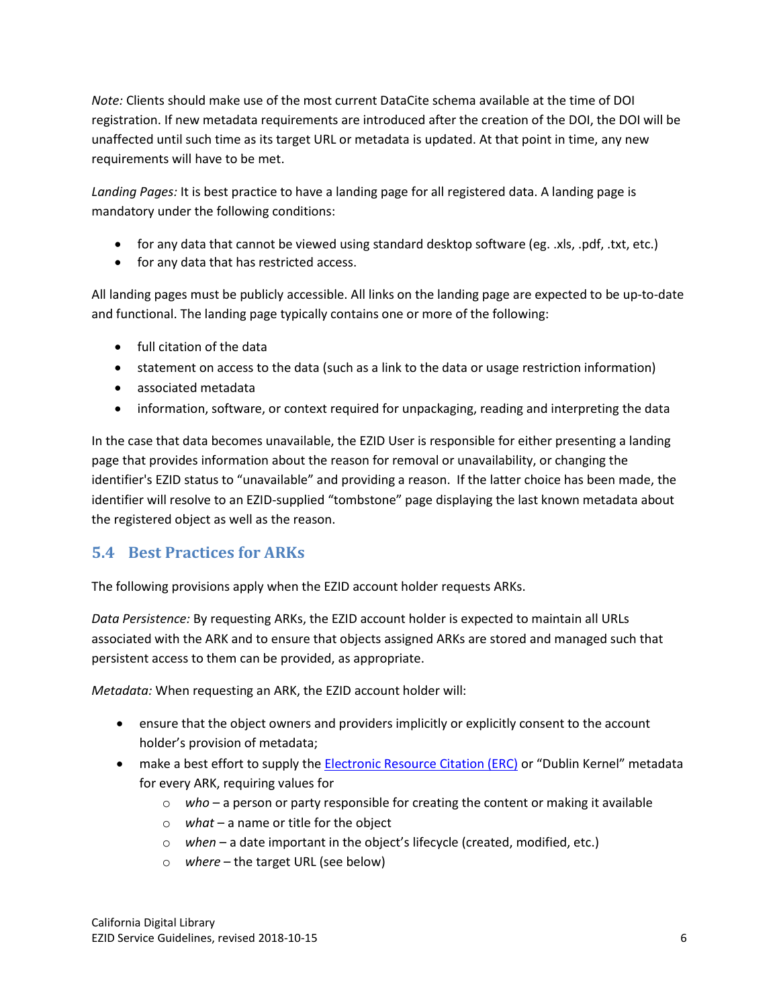*Note:* Clients should make use of the most current DataCite schema available at the time of DOI registration. If new metadata requirements are introduced after the creation of the DOI, the DOI will be unaffected until such time as its target URL or metadata is updated. At that point in time, any new requirements will have to be met.

*Landing Pages:* It is best practice to have a landing page for all registered data. A landing page is mandatory under the following conditions:

- for any data that cannot be viewed using standard desktop software (eg. .xls, .pdf, .txt, etc.)
- for any data that has restricted access.

All landing pages must be publicly accessible. All links on the landing page are expected to be up-to-date and functional. The landing page typically contains one or more of the following:

- full citation of the data
- statement on access to the data (such as a link to the data or usage restriction information)
- associated metadata
- information, software, or context required for unpackaging, reading and interpreting the data

In the case that data becomes unavailable, the EZID User is responsible for either presenting a landing page that provides information about the reason for removal or unavailability, or changing the identifier's EZID status to "unavailable" and providing a reason. If the latter choice has been made, the identifier will resolve to an EZID-supplied "tombstone" page displaying the last known metadata about the registered object as well as the reason.

### **5.4 Best Practices for ARKs**

The following provisions apply when the EZID account holder requests ARKs.

*Data Persistence:* By requesting ARKs, the EZID account holder is expected to maintain all URLs associated with the ARK and to ensure that objects assigned ARKs are stored and managed such that persistent access to them can be provided, as appropriate.

*Metadata:* When requesting an ARK, the EZID account holder will:

- ensure that the object owners and providers implicitly or explicitly consent to the account holder's provision of metadata;
- make a best effort to supply the [Electronic Resource Citation \(ERC\)](http://dublincore.org/groups/kernel/spec/) or "Dublin Kernel" metadata for every ARK, requiring values for
	- o *who* a person or party responsible for creating the content or making it available
	- o *what* a name or title for the object
	- o *when* a date important in the object's lifecycle (created, modified, etc.)
	- o *where* the target URL (see below)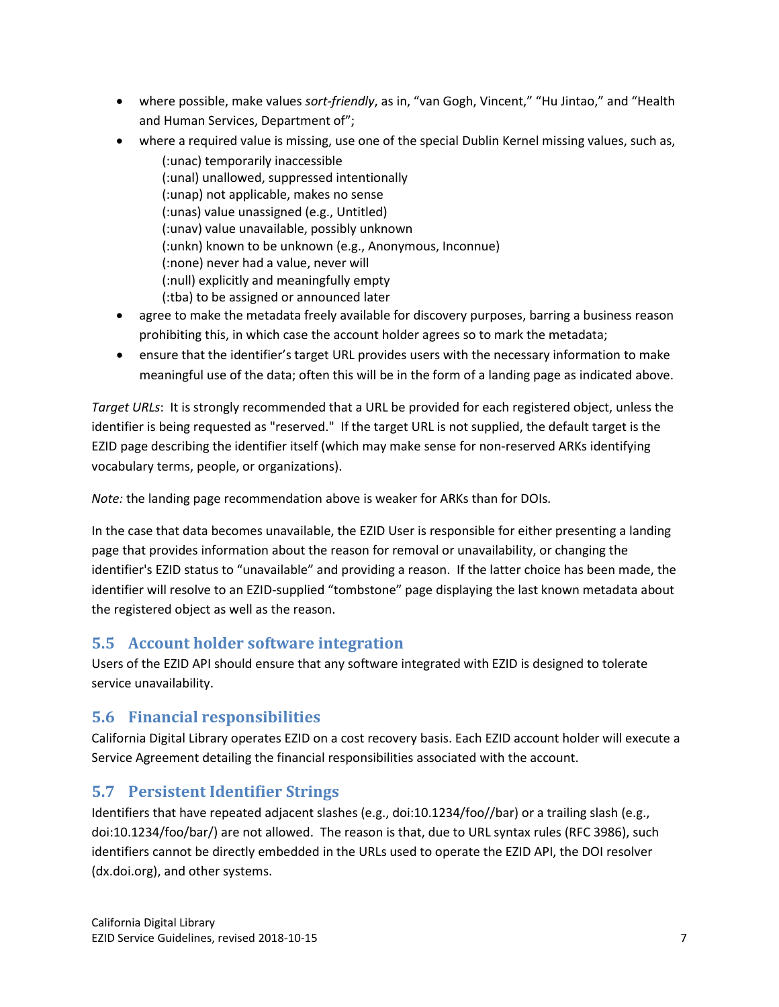- where possible, make values *sort-friendly*, as in, "van Gogh, Vincent," "Hu Jintao," and "Health and Human Services, Department of";
- where a required value is missing, use one of the special Dublin Kernel missing values, such as, (:unac) temporarily inaccessible (:unal) unallowed, suppressed intentionally (:unap) not applicable, makes no sense (:unas) value unassigned (e.g., Untitled) (:unav) value unavailable, possibly unknown (:unkn) known to be unknown (e.g., Anonymous, Inconnue) (:none) never had a value, never will (:null) explicitly and meaningfully empty (:tba) to be assigned or announced later
- agree to make the metadata freely available for discovery purposes, barring a business reason prohibiting this, in which case the account holder agrees so to mark the metadata;
- ensure that the identifier's target URL provides users with the necessary information to make meaningful use of the data; often this will be in the form of a landing page as indicated above.

*Target URLs*: It is strongly recommended that a URL be provided for each registered object, unless the identifier is being requested as "reserved." If the target URL is not supplied, the default target is the EZID page describing the identifier itself (which may make sense for non-reserved ARKs identifying vocabulary terms, people, or organizations).

*Note:* the landing page recommendation above is weaker for ARKs than for DOIs.

In the case that data becomes unavailable, the EZID User is responsible for either presenting a landing page that provides information about the reason for removal or unavailability, or changing the identifier's EZID status to "unavailable" and providing a reason. If the latter choice has been made, the identifier will resolve to an EZID-supplied "tombstone" page displaying the last known metadata about the registered object as well as the reason.

### **5.5 Account holder software integration**

Users of the EZID API should ensure that any software integrated with EZID is designed to tolerate service unavailability.

### **5.6 Financial responsibilities**

California Digital Library operates EZID on a cost recovery basis. Each EZID account holder will execute a Service Agreement detailing the financial responsibilities associated with the account.

### **5.7 Persistent Identifier Strings**

Identifiers that have repeated adjacent slashes (e.g., doi:10.1234/foo//bar) or a trailing slash (e.g., doi:10.1234/foo/bar/) are not allowed. The reason is that, due to URL syntax rules (RFC 3986), such identifiers cannot be directly embedded in the URLs used to operate the EZID API, the DOI resolver (dx.doi.org), and other systems.